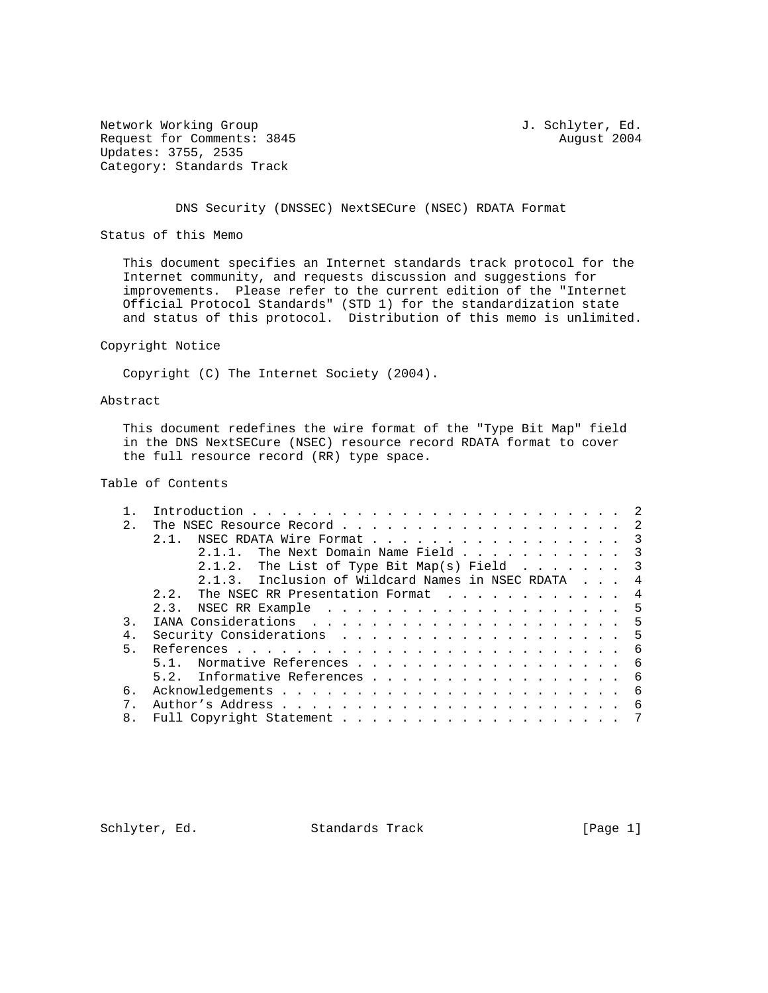Network Working Group and Section 1. Schlyter, Ed. Request for Comments: 3845 August 2004 Updates: 3755, 2535 Category: Standards Track

DNS Security (DNSSEC) NextSECure (NSEC) RDATA Format

Status of this Memo

 This document specifies an Internet standards track protocol for the Internet community, and requests discussion and suggestions for improvements. Please refer to the current edition of the "Internet Official Protocol Standards" (STD 1) for the standardization state and status of this protocol. Distribution of this memo is unlimited.

### Copyright Notice

Copyright (C) The Internet Society (2004).

# Abstract

 This document redefines the wire format of the "Type Bit Map" field in the DNS NextSECure (NSEC) resource record RDATA format to cover the full resource record (RR) type space.

# Table of Contents

|                                        | 2.            | The NSEC Resource Record 2                          |  |  |  |  |  |  |  |  |  |  |  |  |
|----------------------------------------|---------------|-----------------------------------------------------|--|--|--|--|--|--|--|--|--|--|--|--|
|                                        |               | NSEC RDATA Wire Format 3<br>2.1.                    |  |  |  |  |  |  |  |  |  |  |  |  |
|                                        |               | 2.1.1. The Next Domain Name Field 3                 |  |  |  |  |  |  |  |  |  |  |  |  |
|                                        |               | 2.1.2. The List of Type Bit Map(s) Field $\ldots$ 3 |  |  |  |  |  |  |  |  |  |  |  |  |
|                                        |               | 2.1.3. Inclusion of Wildcard Names in NSEC RDATA 4  |  |  |  |  |  |  |  |  |  |  |  |  |
| 2.2. The NSEC RR Presentation Format 4 |               |                                                     |  |  |  |  |  |  |  |  |  |  |  |  |
|                                        |               |                                                     |  |  |  |  |  |  |  |  |  |  |  |  |
|                                        | $\mathcal{R}$ |                                                     |  |  |  |  |  |  |  |  |  |  |  |  |
|                                        | 4.            | Security Considerations 5                           |  |  |  |  |  |  |  |  |  |  |  |  |
|                                        | 5.            |                                                     |  |  |  |  |  |  |  |  |  |  |  |  |
|                                        |               | 5.1. Normative References 6                         |  |  |  |  |  |  |  |  |  |  |  |  |
|                                        |               | 5.2. Informative References 6                       |  |  |  |  |  |  |  |  |  |  |  |  |
|                                        | б.            |                                                     |  |  |  |  |  |  |  |  |  |  |  |  |
|                                        |               |                                                     |  |  |  |  |  |  |  |  |  |  |  |  |
|                                        | 8.            |                                                     |  |  |  |  |  |  |  |  |  |  |  |  |
|                                        |               |                                                     |  |  |  |  |  |  |  |  |  |  |  |  |

Schlyter, Ed. Standards Track [Page 1]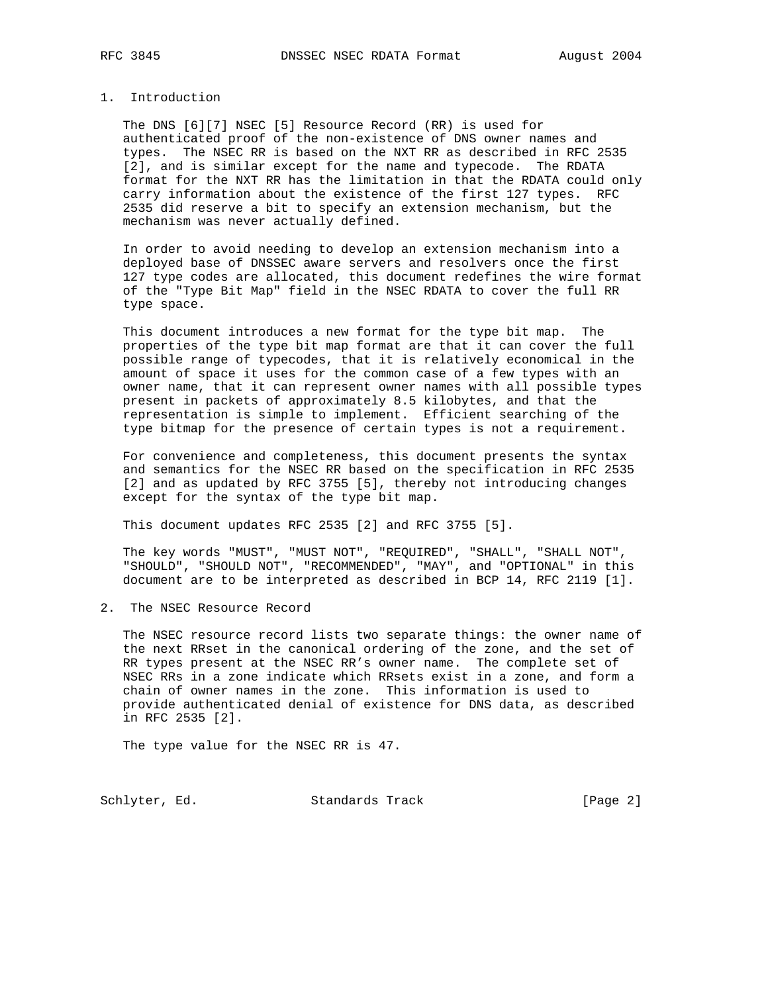### 1. Introduction

 The DNS [6][7] NSEC [5] Resource Record (RR) is used for authenticated proof of the non-existence of DNS owner names and types. The NSEC RR is based on the NXT RR as described in RFC 2535 [2], and is similar except for the name and typecode. The RDATA format for the NXT RR has the limitation in that the RDATA could only carry information about the existence of the first 127 types. RFC 2535 did reserve a bit to specify an extension mechanism, but the mechanism was never actually defined.

 In order to avoid needing to develop an extension mechanism into a deployed base of DNSSEC aware servers and resolvers once the first 127 type codes are allocated, this document redefines the wire format of the "Type Bit Map" field in the NSEC RDATA to cover the full RR type space.

 This document introduces a new format for the type bit map. The properties of the type bit map format are that it can cover the full possible range of typecodes, that it is relatively economical in the amount of space it uses for the common case of a few types with an owner name, that it can represent owner names with all possible types present in packets of approximately 8.5 kilobytes, and that the representation is simple to implement. Efficient searching of the type bitmap for the presence of certain types is not a requirement.

 For convenience and completeness, this document presents the syntax and semantics for the NSEC RR based on the specification in RFC 2535 [2] and as updated by RFC 3755 [5], thereby not introducing changes except for the syntax of the type bit map.

This document updates RFC 2535 [2] and RFC 3755 [5].

 The key words "MUST", "MUST NOT", "REQUIRED", "SHALL", "SHALL NOT", "SHOULD", "SHOULD NOT", "RECOMMENDED", "MAY", and "OPTIONAL" in this document are to be interpreted as described in BCP 14, RFC 2119 [1].

2. The NSEC Resource Record

 The NSEC resource record lists two separate things: the owner name of the next RRset in the canonical ordering of the zone, and the set of RR types present at the NSEC RR's owner name. The complete set of NSEC RRs in a zone indicate which RRsets exist in a zone, and form a chain of owner names in the zone. This information is used to provide authenticated denial of existence for DNS data, as described in RFC 2535 [2].

The type value for the NSEC RR is 47.

Schlyter, Ed. Standards Track [Page 2]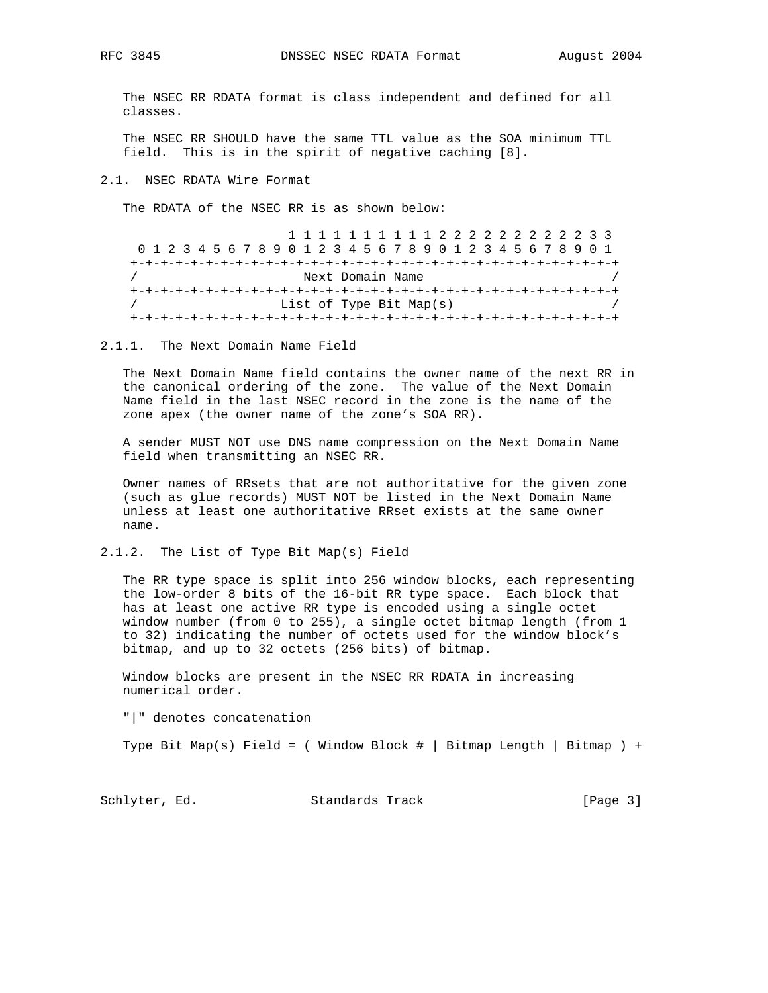The NSEC RR RDATA format is class independent and defined for all classes.

 The NSEC RR SHOULD have the same TTL value as the SOA minimum TTL field. This is in the spirit of negative caching [8].

2.1. NSEC RDATA Wire Format

The RDATA of the NSEC RR is as shown below:

|  |  |                  |                         |  |  |  |  |  |  |  |  |  |  |  |  |  |  |  |  |  |  |  |  | 1 1 1 1 1 1 1 1 1 1 2 2 2 2 2 2 2 2 2 3 3                       |  |
|--|--|------------------|-------------------------|--|--|--|--|--|--|--|--|--|--|--|--|--|--|--|--|--|--|--|--|-----------------------------------------------------------------|--|
|  |  |                  |                         |  |  |  |  |  |  |  |  |  |  |  |  |  |  |  |  |  |  |  |  | 0 1 2 3 4 5 6 7 8 9 0 1 2 3 4 5 6 7 8 9 0 1 2 3 4 5 6 7 8 9 0 1 |  |
|  |  |                  |                         |  |  |  |  |  |  |  |  |  |  |  |  |  |  |  |  |  |  |  |  |                                                                 |  |
|  |  | Next Domain Name |                         |  |  |  |  |  |  |  |  |  |  |  |  |  |  |  |  |  |  |  |  |                                                                 |  |
|  |  |                  |                         |  |  |  |  |  |  |  |  |  |  |  |  |  |  |  |  |  |  |  |  |                                                                 |  |
|  |  |                  | List of Type Bit Map(s) |  |  |  |  |  |  |  |  |  |  |  |  |  |  |  |  |  |  |  |  |                                                                 |  |
|  |  |                  |                         |  |  |  |  |  |  |  |  |  |  |  |  |  |  |  |  |  |  |  |  |                                                                 |  |

2.1.1. The Next Domain Name Field

 The Next Domain Name field contains the owner name of the next RR in the canonical ordering of the zone. The value of the Next Domain Name field in the last NSEC record in the zone is the name of the zone apex (the owner name of the zone's SOA RR).

 A sender MUST NOT use DNS name compression on the Next Domain Name field when transmitting an NSEC RR.

 Owner names of RRsets that are not authoritative for the given zone (such as glue records) MUST NOT be listed in the Next Domain Name unless at least one authoritative RRset exists at the same owner name.

2.1.2. The List of Type Bit Map(s) Field

 The RR type space is split into 256 window blocks, each representing the low-order 8 bits of the 16-bit RR type space. Each block that has at least one active RR type is encoded using a single octet window number (from 0 to 255), a single octet bitmap length (from 1 to 32) indicating the number of octets used for the window block's bitmap, and up to 32 octets (256 bits) of bitmap.

 Window blocks are present in the NSEC RR RDATA in increasing numerical order.

"|" denotes concatenation

Type Bit Map(s) Field = ( Window Block  $\#$  | Bitmap Length | Bitmap ) +

Schlyter, Ed. Standards Track [Page 3]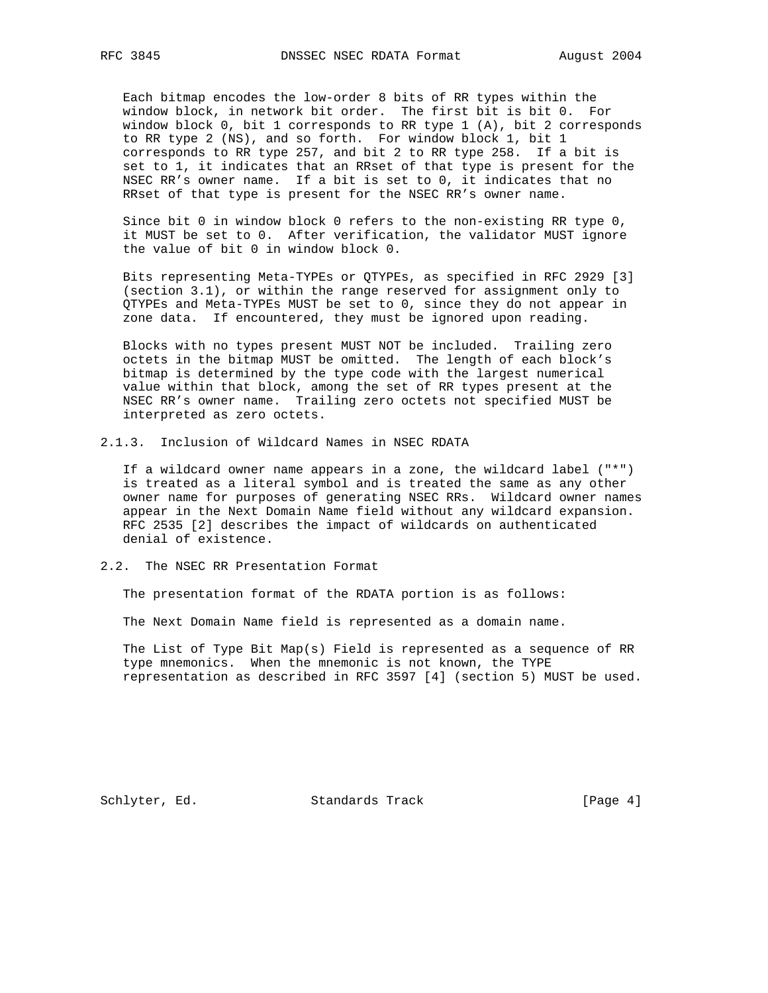Each bitmap encodes the low-order 8 bits of RR types within the window block, in network bit order. The first bit is bit 0. For window block 0, bit 1 corresponds to RR type 1 (A), bit 2 corresponds to RR type 2 (NS), and so forth. For window block 1, bit 1 corresponds to RR type 257, and bit 2 to RR type 258. If a bit is set to 1, it indicates that an RRset of that type is present for the NSEC RR's owner name. If a bit is set to 0, it indicates that no RRset of that type is present for the NSEC RR's owner name.

 Since bit 0 in window block 0 refers to the non-existing RR type 0, it MUST be set to 0. After verification, the validator MUST ignore the value of bit 0 in window block 0.

 Bits representing Meta-TYPEs or QTYPEs, as specified in RFC 2929 [3] (section 3.1), or within the range reserved for assignment only to QTYPEs and Meta-TYPEs MUST be set to 0, since they do not appear in zone data. If encountered, they must be ignored upon reading.

 Blocks with no types present MUST NOT be included. Trailing zero octets in the bitmap MUST be omitted. The length of each block's bitmap is determined by the type code with the largest numerical value within that block, among the set of RR types present at the NSEC RR's owner name. Trailing zero octets not specified MUST be interpreted as zero octets.

2.1.3. Inclusion of Wildcard Names in NSEC RDATA

 If a wildcard owner name appears in a zone, the wildcard label ("\*") is treated as a literal symbol and is treated the same as any other owner name for purposes of generating NSEC RRs. Wildcard owner names appear in the Next Domain Name field without any wildcard expansion. RFC 2535 [2] describes the impact of wildcards on authenticated denial of existence.

### 2.2. The NSEC RR Presentation Format

The presentation format of the RDATA portion is as follows:

The Next Domain Name field is represented as a domain name.

 The List of Type Bit Map(s) Field is represented as a sequence of RR type mnemonics. When the mnemonic is not known, the TYPE representation as described in RFC 3597 [4] (section 5) MUST be used.

Schlyter, Ed. Standards Track [Page 4]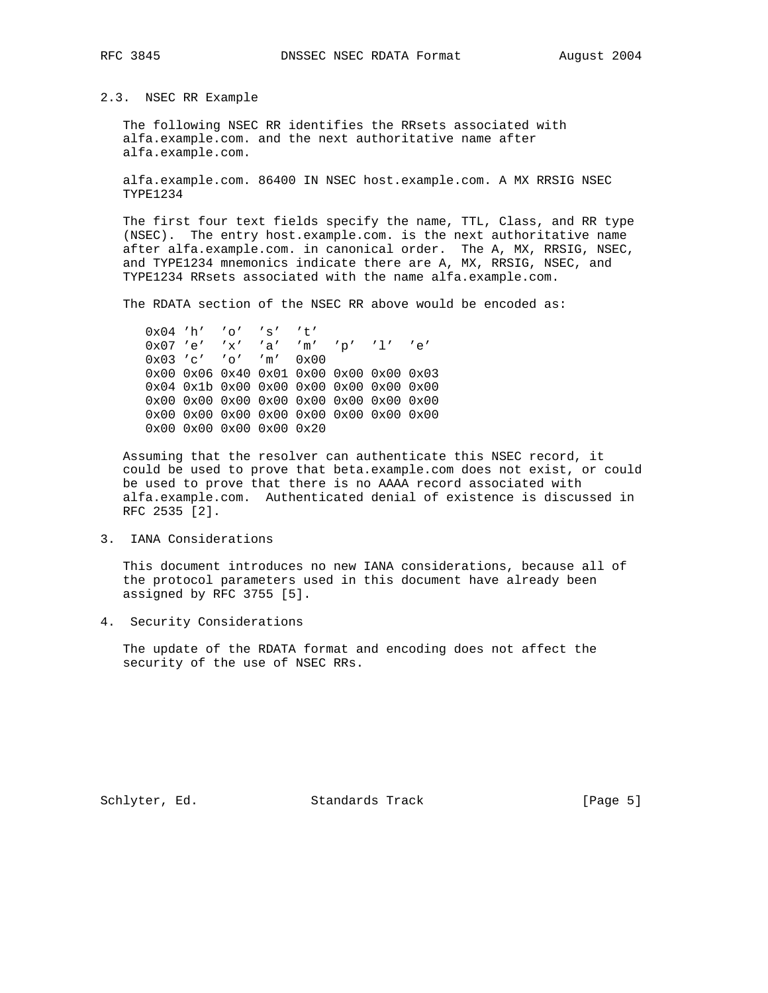2.3. NSEC RR Example

 The following NSEC RR identifies the RRsets associated with alfa.example.com. and the next authoritative name after alfa.example.com.

 alfa.example.com. 86400 IN NSEC host.example.com. A MX RRSIG NSEC TYPE1234

 The first four text fields specify the name, TTL, Class, and RR type (NSEC). The entry host.example.com. is the next authoritative name after alfa.example.com. in canonical order. The A, MX, RRSIG, NSEC, and TYPE1234 mnemonics indicate there are A, MX, RRSIG, NSEC, and TYPE1234 RRsets associated with the name alfa.example.com.

The RDATA section of the NSEC RR above would be encoded as:

 0x04 'h' 'o' 's' 't' 0x07 'e' 'x' 'a' 'm' 'p' 'l' 'e' 0x03 'c' 'o' 'm' 0x00 0x00 0x06 0x40 0x01 0x00 0x00 0x00 0x03 0x04 0x1b 0x00 0x00 0x00 0x00 0x00 0x00 0x00 0x00 0x00 0x00 0x00 0x00 0x00 0x00 0x00 0x00 0x00 0x00 0x00 0x00 0x00 0x00 0x00 0x00 0x00 0x00 0x20

 Assuming that the resolver can authenticate this NSEC record, it could be used to prove that beta.example.com does not exist, or could be used to prove that there is no AAAA record associated with alfa.example.com. Authenticated denial of existence is discussed in RFC 2535 [2].

3. IANA Considerations

 This document introduces no new IANA considerations, because all of the protocol parameters used in this document have already been assigned by RFC 3755 [5].

4. Security Considerations

 The update of the RDATA format and encoding does not affect the security of the use of NSEC RRs.

Schlyter, Ed. Standards Track [Page 5]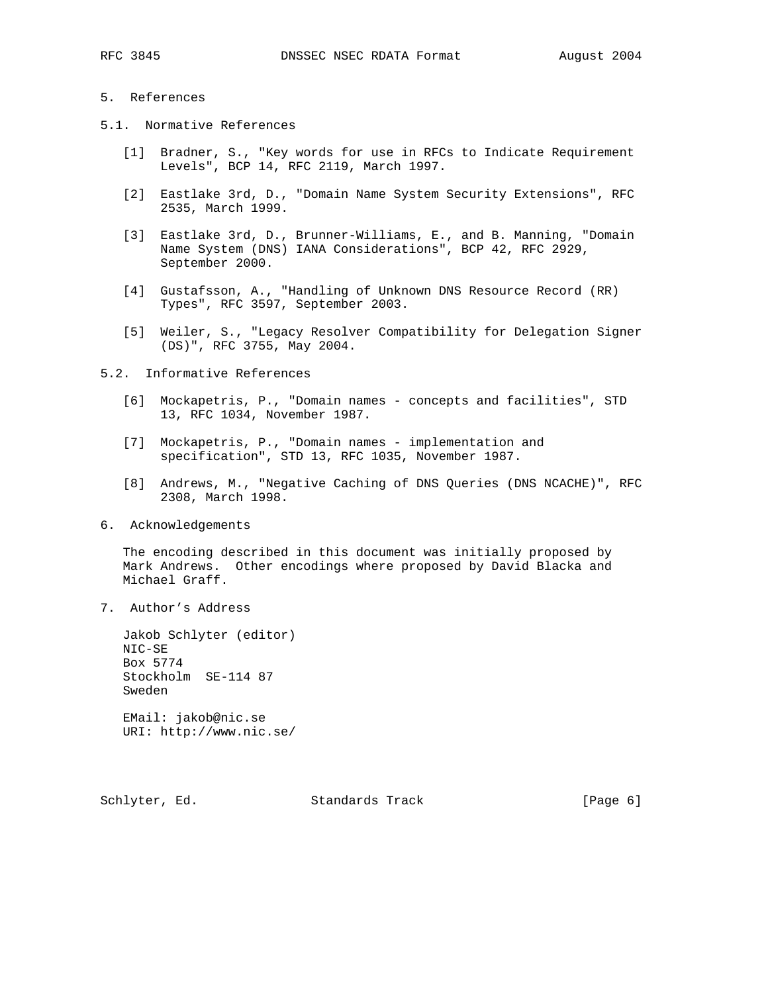## 5. References

- 5.1. Normative References
	- [1] Bradner, S., "Key words for use in RFCs to Indicate Requirement Levels", BCP 14, RFC 2119, March 1997.
	- [2] Eastlake 3rd, D., "Domain Name System Security Extensions", RFC 2535, March 1999.
	- [3] Eastlake 3rd, D., Brunner-Williams, E., and B. Manning, "Domain Name System (DNS) IANA Considerations", BCP 42, RFC 2929, September 2000.
	- [4] Gustafsson, A., "Handling of Unknown DNS Resource Record (RR) Types", RFC 3597, September 2003.
	- [5] Weiler, S., "Legacy Resolver Compatibility for Delegation Signer (DS)", RFC 3755, May 2004.
- 5.2. Informative References
	- [6] Mockapetris, P., "Domain names concepts and facilities", STD 13, RFC 1034, November 1987.
	- [7] Mockapetris, P., "Domain names implementation and specification", STD 13, RFC 1035, November 1987.
	- [8] Andrews, M., "Negative Caching of DNS Queries (DNS NCACHE)", RFC 2308, March 1998.
- 6. Acknowledgements

 The encoding described in this document was initially proposed by Mark Andrews. Other encodings where proposed by David Blacka and Michael Graff.

7. Author's Address

 Jakob Schlyter (editor) NIC-SE Box 5774 Stockholm SE-114 87 Sweden

 EMail: jakob@nic.se URI: http://www.nic.se/

Schlyter, Ed. Standards Track (Page 6)